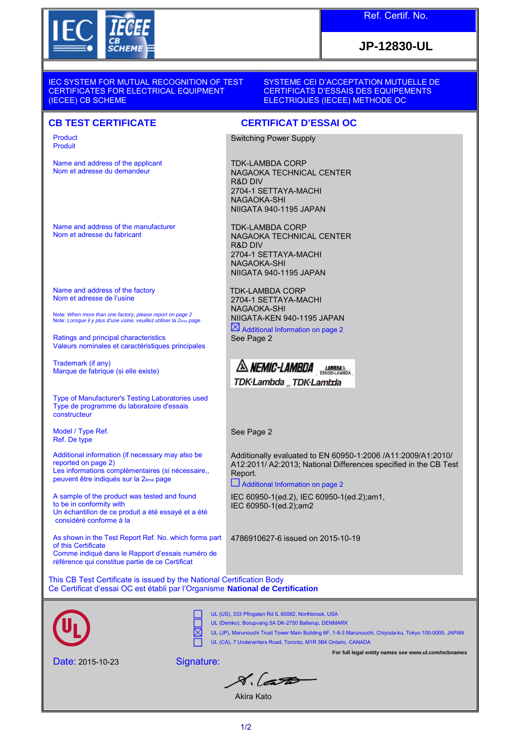

## **JP-12830-UL**

IEC SYSTEM FOR MUTUAL RECOGNITION OF TEST CERTIFICATES FOR ELECTRICAL EQUIPMENT (IECEE) CB SCHEME

SYSTEME CEI D'ACCEPTATION MUTUELLE DE CERTIFICATS D'ESSAIS DES EQUIPEMENTS ELECTRIQUES (IECEE) METHODE OC

## **CB TEST CERTIFICATE CERTIFICAT D'ESSAI OC**

Product Produit

Name and address of the applicant Nom et adresse du demandeur

Name and address of the manufacturer Nom et adresse du fabricant

Name and address of the factory Nom et adresse de l'usine

Note: When more than one factory, please report on page 2 Note: Lorsque il y plus d'une usine, veuillez utiliser la 2ème page

Ratings and principal characteristics Valeurs nominales et caractéristiques principales

Trademark (if any) Marque de fabrique (si elle existe)

Type of Manufacturer's Testing Laboratories used Type de programme du laboratoire d'essais constructeur

Model / Type Ref. Ref. De type

Additional information (if necessary may also be reported on page 2) Les informations complémentaires (si nécessaire, peuvent être indiqués sur la 2ème page

A sample of the product was tested and found to be in conformity with Un échantillon de ce produit a été essayé et a été considéré conforme à la

As shown in the Test Report Ref. No. which forms part of this Certificate Comme indiqué dans le Rapport d'essais numéro de référence qui constitue partie de ce Certificat

Switching Power Supply

TDK-LAMBDA CORP NAGAOKA TECHNICAL CENTER R&D DIV 2704-1 SETTAYA-MACHI NAGAOKA-SHI NIIGATA 940-1195 JAPAN

TDK-LAMBDA CORP NAGAOKA TECHNICAL CENTER R&D DIV 2704-1 SETTAYA-MACHI NAGAOKA-SHI NIIGATA 940-1195 JAPAN

TDK-LAMBDA CORP 2704-1 SETTAYA-MACHI NAGAOKA-SHI NIIGATA-KEN 940-1195 JAPAN  $\boxtimes$  Additional Information on page 2

See Page 2

A NEMIC-LAMBDA LAMBDA TDK·Lambda TDK·Lambda

See Page 2

Additionally evaluated to EN 60950-1:2006 /A11:2009/A1:2010/ A12:2011/ A2:2013; National Differences specified in the CB Test Report.

 $\Box$  Additional Information on page 2

IEC 60950-1(ed.2), IEC 60950-1(ed.2);am1, IEC 60950-1(ed.2);am2

4786910627-6 issued on 2015-10-19

This CB Test Certificate is issued by the National Certification Body Ce Certificat d'essai OC est établi par l'Organisme **National de Certification**

Signature:



UL (US), 333 Pfingsten Rd IL 60062, Northbrook, USA UL (Demko), Borupvang 5A DK-2750 Ballerup, DENMARK

UL (JP), Marunouchi Trust Tower Main Building 6F, 1-8-3 Marunouchi, Chiyoda-ku, Tokyo 100-0005, JAPAN

UL (CA), 7 Underwriters Road, Toronto, M1R 3B4 Ontario, CANADA

 $8.650$ 

**For full legal entity names see www.ul.com/ncbnames**

Akira Kato